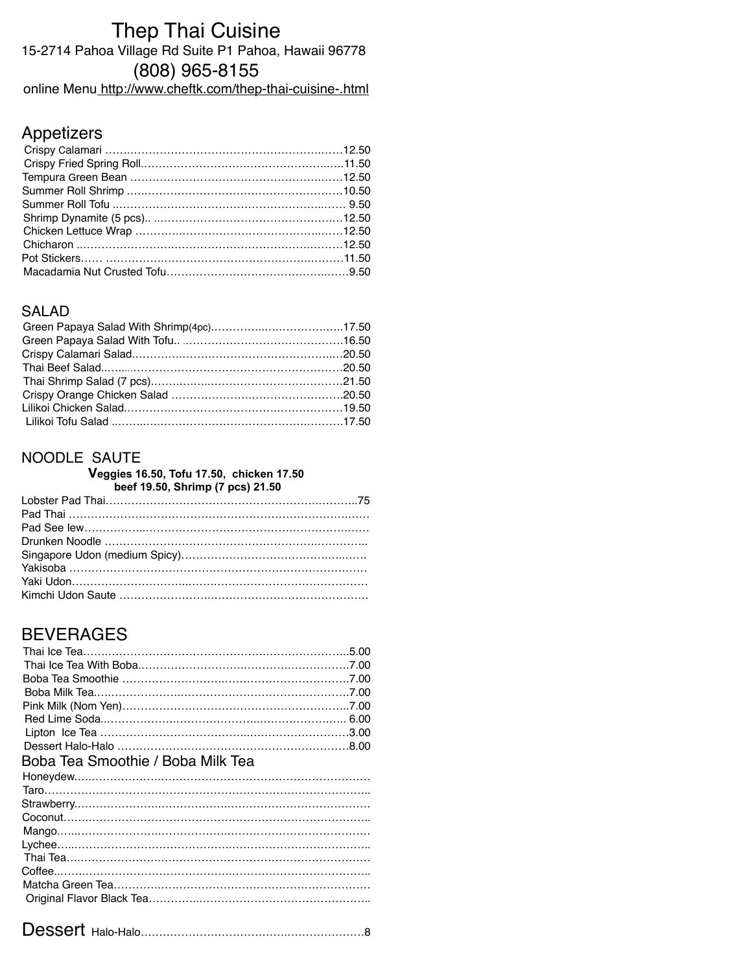# Thep Thai Cuisine 15-2714 Pahoa Village Rd Suite P1 Pahoa, Hawaii 96778 (808) 965-8155

online Menu <http://www.cheftk.com/thep-thai-cuisine-.html>

# Appetizers

### SALAD

## NOODLE SAUTE

#### **Veggies 16.50, Tofu 17.50, chicken 17.50 beef 19.50, Shrimp (7 pcs) 21.50**

## BEVERAGES

| Boba Tea Smoothie / Boba Milk Tea |  |
|-----------------------------------|--|
|                                   |  |
|                                   |  |
|                                   |  |
|                                   |  |
|                                   |  |
|                                   |  |
|                                   |  |
|                                   |  |
|                                   |  |
|                                   |  |
|                                   |  |

|--|--|--|